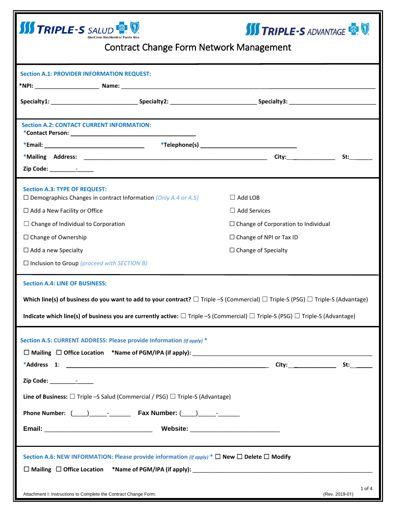| <b>SS TRIPLE-S</b> SALUD<br><b>SSI TRIPLE-S</b> ADVANTAGE <b>CO.</b><br><b>BlueCross BlueShield of Puerto</b><br>Contract Change Form Network Management |                                                                                                                                                                                                                                                                                                |                                            |                          |  |  |
|----------------------------------------------------------------------------------------------------------------------------------------------------------|------------------------------------------------------------------------------------------------------------------------------------------------------------------------------------------------------------------------------------------------------------------------------------------------|--------------------------------------------|--------------------------|--|--|
| <b>Section A.1: PROVIDER INFORMATION REQUEST:</b>                                                                                                        |                                                                                                                                                                                                                                                                                                |                                            |                          |  |  |
|                                                                                                                                                          |                                                                                                                                                                                                                                                                                                |                                            |                          |  |  |
| <b>Section A.2: CONTACT CURRENT INFORMATION:</b>                                                                                                         |                                                                                                                                                                                                                                                                                                |                                            |                          |  |  |
| Zip Code: _______________                                                                                                                                |                                                                                                                                                                                                                                                                                                |                                            | St:                      |  |  |
| <b>Section A.3: TYPE OF REQUEST:</b>                                                                                                                     | $\Box$ Demographics Changes in contract Information (Only A.4 or A.5)                                                                                                                                                                                                                          | $\Box$ Add LOB                             |                          |  |  |
| $\Box$ Add a New Facility or Office                                                                                                                      |                                                                                                                                                                                                                                                                                                | $\Box$ Add Services                        |                          |  |  |
| $\Box$ Change of Individual to Corporation                                                                                                               |                                                                                                                                                                                                                                                                                                | $\Box$ Change of Corporation to Individual |                          |  |  |
| $\Box$ Change of Ownership                                                                                                                               |                                                                                                                                                                                                                                                                                                | $\Box$ Change of NPI or Tax ID             |                          |  |  |
| $\Box$ Add a new Specialty<br>$\Box$ Inclusion to Group (proceed with SECTION B)                                                                         |                                                                                                                                                                                                                                                                                                | $\Box$ Change of Specialty                 |                          |  |  |
| <b>Section A.4: LINE OF BUSINESS:</b>                                                                                                                    | Which line(s) of business do you want to add to your contract? $\Box$ Triple -S (Commercial) $\Box$ Triple-S (PSG) $\Box$ Triple-S (Advantage)<br>Indicate which line(s) of business you are currently active: $\Box$ Triple -S (Commercial) $\Box$ Triple-S (PSG) $\Box$ Triple-S (Advantage) |                                            |                          |  |  |
|                                                                                                                                                          | Section A.5: CURRENT ADDRESS: Please provide Information (if apply) *                                                                                                                                                                                                                          |                                            |                          |  |  |
|                                                                                                                                                          |                                                                                                                                                                                                                                                                                                |                                            |                          |  |  |
|                                                                                                                                                          |                                                                                                                                                                                                                                                                                                |                                            |                          |  |  |
| <b>Line of Business:</b> $\Box$ Triple -S Salud (Commercial / PSG) $\Box$ Triple-S (Advantage)                                                           |                                                                                                                                                                                                                                                                                                |                                            |                          |  |  |
|                                                                                                                                                          |                                                                                                                                                                                                                                                                                                |                                            |                          |  |  |
|                                                                                                                                                          |                                                                                                                                                                                                                                                                                                |                                            |                          |  |  |
| Section A.6: NEW INFORMATION: Please provide information (if apply) $^* \square$ New $\square$ Delete $\square$ Modify                                   |                                                                                                                                                                                                                                                                                                |                                            |                          |  |  |
| Attachment I: Instructions to Complete the Contract Change Form.                                                                                         |                                                                                                                                                                                                                                                                                                |                                            | 1 of 4<br>(Rev. 2019-01) |  |  |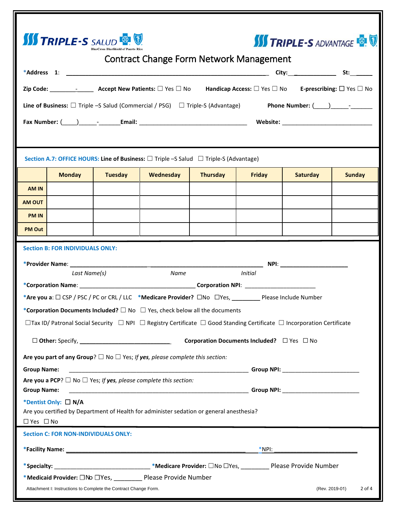



## Contract Change Form Network Management

|                                                                                                                                      |                                                                                                                        |                | <b>Line of Business:</b> $\square$ Triple -S Salud (Commercial / PSG) $\square$ Triple-S (Advantage)                                                                                                                           |                 |                |                 |               |
|--------------------------------------------------------------------------------------------------------------------------------------|------------------------------------------------------------------------------------------------------------------------|----------------|--------------------------------------------------------------------------------------------------------------------------------------------------------------------------------------------------------------------------------|-----------------|----------------|-----------------|---------------|
|                                                                                                                                      |                                                                                                                        |                | Fax Number: (\bud_)\right\model_ \left\model_ \left\model_ \left\model_ \left\model_ \left\model_ \left\model_ \left\model_ \left\model_ \left\model_ \left\model_ \left\model_ \left\model_ \left\model_ \left\model_ \left\m |                 |                |                 |               |
|                                                                                                                                      |                                                                                                                        |                |                                                                                                                                                                                                                                |                 |                |                 |               |
|                                                                                                                                      |                                                                                                                        |                |                                                                                                                                                                                                                                |                 |                |                 |               |
|                                                                                                                                      |                                                                                                                        |                | Section A.7: OFFICE HOURS: Line of Business: $\square$ Triple -S Salud $\square$ Triple-S (Advantage)                                                                                                                          |                 |                |                 |               |
|                                                                                                                                      | <b>Monday</b>                                                                                                          | <b>Tuesday</b> | <b>Wednesday</b>                                                                                                                                                                                                               | <b>Thursday</b> | Friday         | <b>Saturday</b> | <b>Sunday</b> |
| <b>AM IN</b>                                                                                                                         |                                                                                                                        |                |                                                                                                                                                                                                                                |                 |                |                 |               |
| AM OUT                                                                                                                               |                                                                                                                        |                |                                                                                                                                                                                                                                |                 |                |                 |               |
| <b>PM IN</b>                                                                                                                         |                                                                                                                        |                |                                                                                                                                                                                                                                |                 |                |                 |               |
| <b>PM Out</b>                                                                                                                        |                                                                                                                        |                |                                                                                                                                                                                                                                |                 |                |                 |               |
|                                                                                                                                      | <b>Section B: FOR INDIVIDUALS ONLY:</b>                                                                                |                |                                                                                                                                                                                                                                |                 |                |                 |               |
|                                                                                                                                      |                                                                                                                        |                |                                                                                                                                                                                                                                |                 |                |                 |               |
|                                                                                                                                      | Last Name(s)                                                                                                           |                | Name                                                                                                                                                                                                                           |                 | <b>Initial</b> |                 |               |
|                                                                                                                                      |                                                                                                                        |                |                                                                                                                                                                                                                                |                 |                |                 |               |
| *Are you a: $\Box$ CSP / PSC / PC or CRL / LLC *Medicare Provider? $\Box$ No $\Box$ Yes, _________ Please Include Number             |                                                                                                                        |                |                                                                                                                                                                                                                                |                 |                |                 |               |
| *Corporation Documents Included? $\Box$ No $\Box$ Yes, check below all the documents                                                 |                                                                                                                        |                |                                                                                                                                                                                                                                |                 |                |                 |               |
|                                                                                                                                      |                                                                                                                        |                | $\Box$ Tax ID/ Patronal Social Security $\Box$ NPI $\Box$ Registry Certificate $\Box$ Good Standing Certificate $\Box$ Incorporation Certificate                                                                               |                 |                |                 |               |
| <b>Corporation Documents Included?</b> $\Box$ Yes $\Box$ No                                                                          |                                                                                                                        |                |                                                                                                                                                                                                                                |                 |                |                 |               |
|                                                                                                                                      | Are you part of any Group? $\Box$ No $\Box$ Yes; If yes, please complete this section:                                 |                |                                                                                                                                                                                                                                |                 |                |                 |               |
| <b>Group Name:</b><br>Group NPI: the contract of the contract of the contract of the contract of the contract of the contract of the |                                                                                                                        |                |                                                                                                                                                                                                                                |                 |                |                 |               |
| Are you a PCP? $\Box$ No $\Box$ Yes; If yes, please complete this section:<br><b>Group Name:</b>                                     |                                                                                                                        |                |                                                                                                                                                                                                                                |                 |                |                 |               |
| *Dentist Only: □ N/A                                                                                                                 |                                                                                                                        |                |                                                                                                                                                                                                                                |                 |                |                 |               |
| Are you certified by Department of Health for administer sedation or general anesthesia?                                             |                                                                                                                        |                |                                                                                                                                                                                                                                |                 |                |                 |               |
| $\Box$ Yes $\Box$ No                                                                                                                 |                                                                                                                        |                |                                                                                                                                                                                                                                |                 |                |                 |               |
| <b>Section C: FOR NON-INDIVIDUALS ONLY:</b>                                                                                          |                                                                                                                        |                |                                                                                                                                                                                                                                |                 |                |                 |               |
| $*$ NPI:                                                                                                                             |                                                                                                                        |                |                                                                                                                                                                                                                                |                 |                |                 |               |
|                                                                                                                                      | *Specialty: _________________________________*Medicare Provider: $\Box$ No $\Box$ Yes, __________Please Provide Number |                |                                                                                                                                                                                                                                |                 |                |                 |               |
| *Medicaid Provider: ONo OYes, ________ Please Provide Number                                                                         |                                                                                                                        |                |                                                                                                                                                                                                                                |                 |                |                 |               |
|                                                                                                                                      | Attachment I: Instructions to Complete the Contract Change Form.<br>(Rev. 2019-01)<br>2 of 4                           |                |                                                                                                                                                                                                                                |                 |                |                 |               |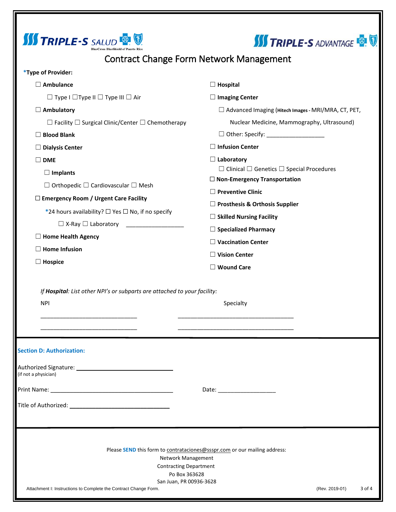



## Contract Change Form Network Management

| $\Box$ Hospital                                                                                                                                                              |  |  |  |  |  |
|------------------------------------------------------------------------------------------------------------------------------------------------------------------------------|--|--|--|--|--|
| $\Box$ Imaging Center                                                                                                                                                        |  |  |  |  |  |
| $\Box$ Advanced Imaging (Hitech Images - MRI/MRA, CT, PET,                                                                                                                   |  |  |  |  |  |
| Nuclear Medicine, Mammography, Ultrasound)                                                                                                                                   |  |  |  |  |  |
| $\Box$ Other: Specify: _____________________<br>$\Box$ Infusion Center                                                                                                       |  |  |  |  |  |
|                                                                                                                                                                              |  |  |  |  |  |
| $\Box$ Clinical $\Box$ Genetics $\Box$ Special Procedures                                                                                                                    |  |  |  |  |  |
| $\Box$ Non-Emergency Transportation                                                                                                                                          |  |  |  |  |  |
| $\Box$ Preventive Clinic                                                                                                                                                     |  |  |  |  |  |
| $\Box$ Prosthesis & Orthosis Supplier                                                                                                                                        |  |  |  |  |  |
| $\Box$ Skilled Nursing Facility                                                                                                                                              |  |  |  |  |  |
| $\Box$ Specialized Pharmacy                                                                                                                                                  |  |  |  |  |  |
| $\Box$ Vaccination Center                                                                                                                                                    |  |  |  |  |  |
| $\Box$ Vision Center                                                                                                                                                         |  |  |  |  |  |
| $\Box$ Wound Care                                                                                                                                                            |  |  |  |  |  |
|                                                                                                                                                                              |  |  |  |  |  |
|                                                                                                                                                                              |  |  |  |  |  |
|                                                                                                                                                                              |  |  |  |  |  |
|                                                                                                                                                                              |  |  |  |  |  |
|                                                                                                                                                                              |  |  |  |  |  |
| Please SEND this form to contrataciones@ssspr.com or our mailing address:<br>Network Management<br><b>Contracting Department</b><br>Po Box 363628<br>San Juan, PR 00936-3628 |  |  |  |  |  |
| (Rev. 2019-01)<br>3 of 4                                                                                                                                                     |  |  |  |  |  |
| If Hospital: List other NPI's or subparts are attached to your facility:                                                                                                     |  |  |  |  |  |